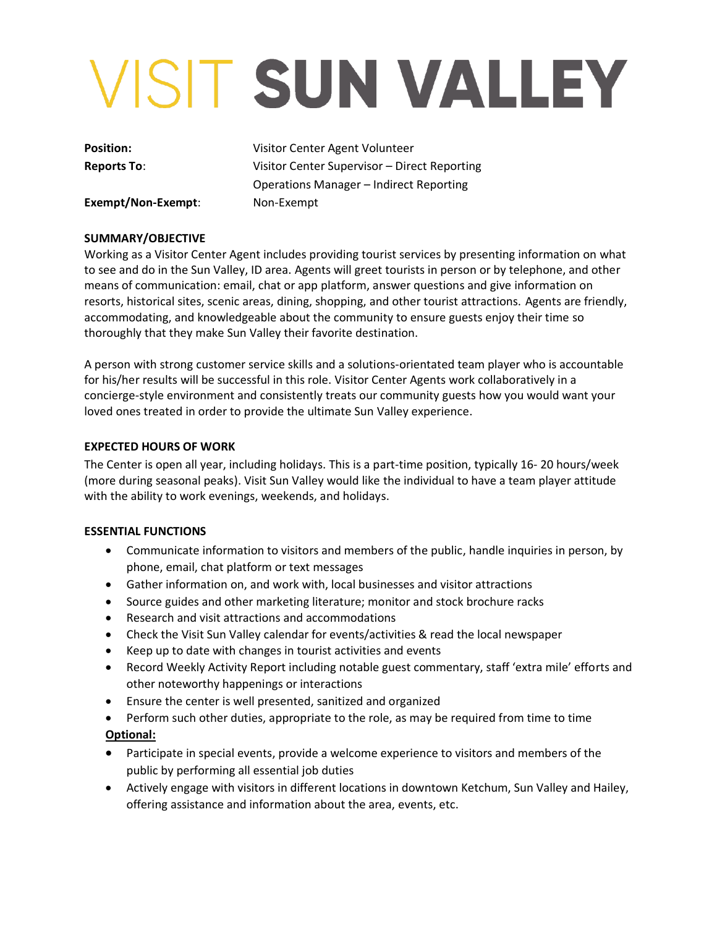# VISIT SUN VALLEY

**Position:** Visitor Center Agent Volunteer **Reports To**: Visitor Center Supervisor – Direct Reporting Operations Manager – Indirect Reporting

**Exempt/Non-Exempt**: Non-Exempt

## **SUMMARY/OBJECTIVE**

Working as a Visitor Center Agent includes providing tourist services by presenting information on what to see and do in the Sun Valley, ID area. Agents will greet tourists in person or by telephone, and other means of communication: email, chat or app platform, answer questions and give information on resorts, historical sites, scenic areas, dining, shopping, and other tourist attractions. Agents are friendly, accommodating, and knowledgeable about the community to ensure guests enjoy their time so thoroughly that they make Sun Valley their favorite destination.

A person with strong customer service skills and a solutions-orientated team player who is accountable for his/her results will be successful in this role. Visitor Center Agents work collaboratively in a concierge-style environment and consistently treats our community guests how you would want your loved ones treated in order to provide the ultimate Sun Valley experience.

### **EXPECTED HOURS OF WORK**

The Center is open all year, including holidays. This is a part-time position, typically 16- 20 hours/week (more during seasonal peaks). Visit Sun Valley would like the individual to have a team player attitude with the ability to work evenings, weekends, and holidays.

### **ESSENTIAL FUNCTIONS**

- Communicate information to visitors and members of the public, handle inquiries in person, by phone, email, chat platform or text messages
- Gather information on, and work with, local businesses and visitor attractions
- Source guides and other marketing literature; monitor and stock brochure racks
- Research and visit attractions and accommodations
- Check the Visit Sun Valley calendar for events/activities & read the local newspaper
- Keep up to date with changes in tourist activities and events
- Record Weekly Activity Report including notable guest commentary, staff 'extra mile' efforts and other noteworthy happenings or interactions
- Ensure the center is well presented, sanitized and organized
- Perform such other duties, appropriate to the role, as may be required from time to time **Optional:**
- Participate in special events, provide a welcome experience to visitors and members of the public by performing all essential job duties
- Actively engage with visitors in different locations in downtown Ketchum, Sun Valley and Hailey, offering assistance and information about the area, events, etc.